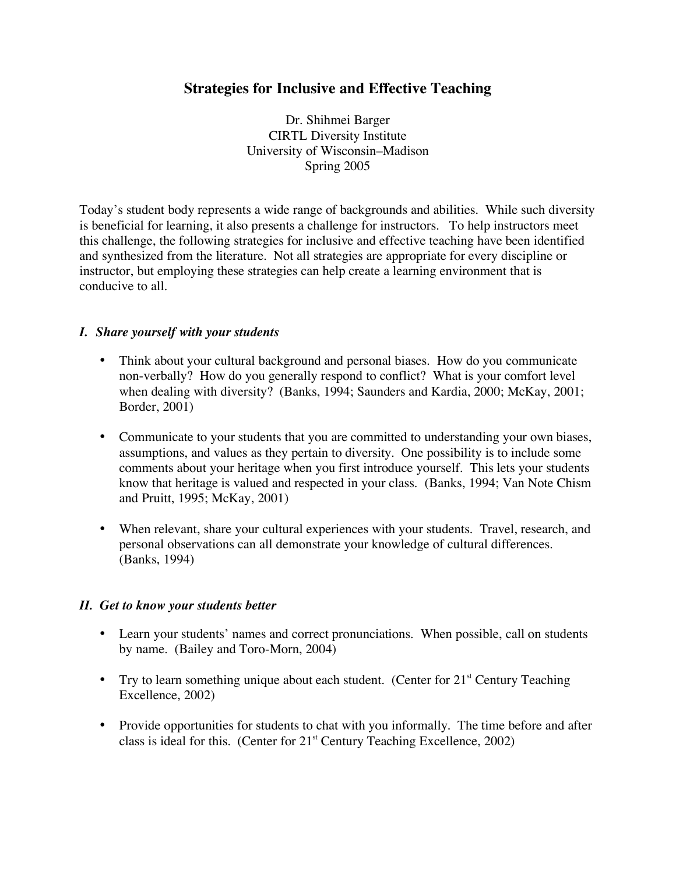# **Strategies for Inclusive and Effective Teaching**

Dr. Shihmei Barger CIRTL Diversity Institute University of Wisconsin–Madison Spring 2005

Today's student body represents a wide range of backgrounds and abilities. While such diversity is beneficial for learning, it also presents a challenge for instructors. To help instructors meet this challenge, the following strategies for inclusive and effective teaching have been identified and synthesized from the literature. Not all strategies are appropriate for every discipline or instructor, but employing these strategies can help create a learning environment that is conducive to all.

#### *I. Share yourself with your students*

- Think about your cultural background and personal biases. How do you communicate non-verbally? How do you generally respond to conflict? What is your comfort level when dealing with diversity? (Banks, 1994; Saunders and Kardia, 2000; McKay, 2001; Border, 2001)
- Communicate to your students that you are committed to understanding your own biases, assumptions, and values as they pertain to diversity. One possibility is to include some comments about your heritage when you first introduce yourself. This lets your students know that heritage is valued and respected in your class. (Banks, 1994; Van Note Chism and Pruitt, 1995; McKay, 2001)
- When relevant, share your cultural experiences with your students. Travel, research, and personal observations can all demonstrate your knowledge of cultural differences. (Banks, 1994)

#### *II. Get to know your students better*

- Learn your students' names and correct pronunciations. When possible, call on students by name. (Bailey and Toro-Morn, 2004)
- Try to learn something unique about each student. (Center for 21<sup>st</sup> Century Teaching Excellence, 2002)
- Provide opportunities for students to chat with you informally. The time before and after class is ideal for this. (Center for 21<sup>st</sup> Century Teaching Excellence, 2002)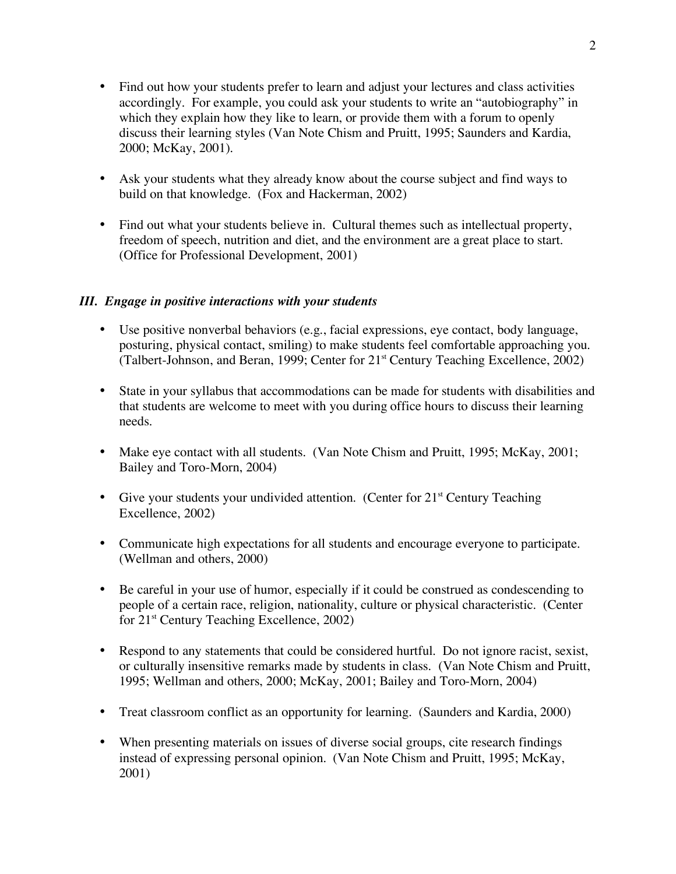- Find out how your students prefer to learn and adjust your lectures and class activities accordingly. For example, you could ask your students to write an "autobiography" in which they explain how they like to learn, or provide them with a forum to openly discuss their learning styles (Van Note Chism and Pruitt, 1995; Saunders and Kardia, 2000; McKay, 2001).
- Ask your students what they already know about the course subject and find ways to build on that knowledge. (Fox and Hackerman, 2002)
- Find out what your students believe in. Cultural themes such as intellectual property, freedom of speech, nutrition and diet, and the environment are a great place to start. (Office for Professional Development, 2001)

#### *III. Engage in positive interactions with your students*

- Use positive nonverbal behaviors (e.g., facial expressions, eye contact, body language, posturing, physical contact, smiling) to make students feel comfortable approaching you. (Talbert-Johnson, and Beran, 1999; Center for 21<sup>st</sup> Century Teaching Excellence, 2002)
- State in your syllabus that accommodations can be made for students with disabilities and that students are welcome to meet with you during office hours to discuss their learning needs.
- Make eye contact with all students. (Van Note Chism and Pruitt, 1995; McKay, 2001; Bailey and Toro-Morn, 2004)
- Give your students your undivided attention. (Center for 21<sup>st</sup> Century Teaching Excellence, 2002)
- Communicate high expectations for all students and encourage everyone to participate. (Wellman and others, 2000)
- Be careful in your use of humor, especially if it could be construed as condescending to people of a certain race, religion, nationality, culture or physical characteristic. (Center for 21<sup>st</sup> Century Teaching Excellence, 2002)
- Respond to any statements that could be considered hurtful. Do not ignore racist, sexist, or culturally insensitive remarks made by students in class. (Van Note Chism and Pruitt, 1995; Wellman and others, 2000; McKay, 2001; Bailey and Toro-Morn, 2004)
- Treat classroom conflict as an opportunity for learning. (Saunders and Kardia, 2000)
- When presenting materials on issues of diverse social groups, cite research findings instead of expressing personal opinion. (Van Note Chism and Pruitt, 1995; McKay, 2001)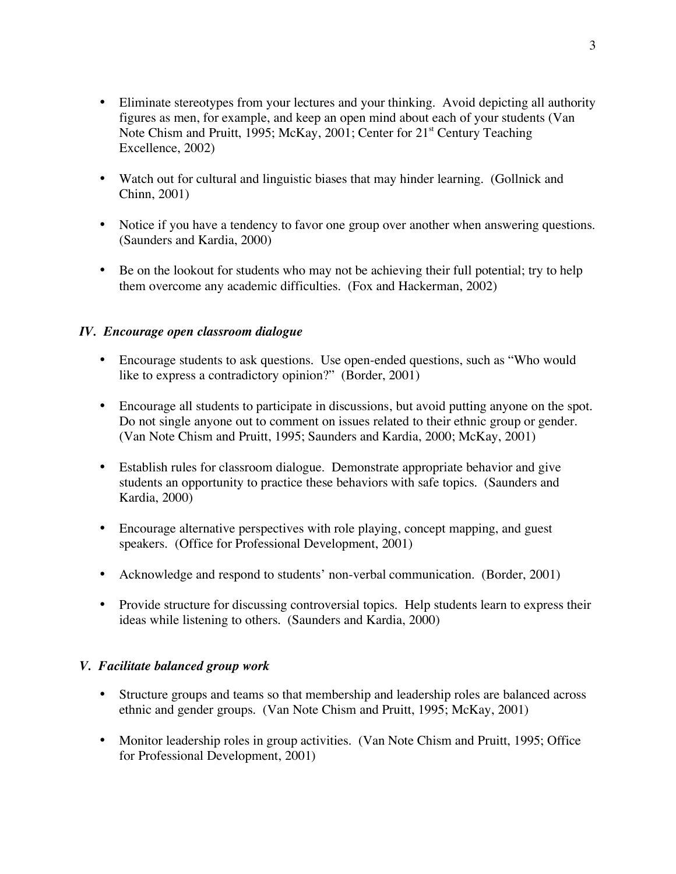- Eliminate stereotypes from your lectures and your thinking. Avoid depicting all authority figures as men, for example, and keep an open mind about each of your students (Van Note Chism and Pruitt, 1995; McKay, 2001; Center for 21<sup>st</sup> Century Teaching Excellence, 2002)
- Watch out for cultural and linguistic biases that may hinder learning. (Gollnick and Chinn, 2001)
- Notice if you have a tendency to favor one group over another when answering questions. (Saunders and Kardia, 2000)
- Be on the lookout for students who may not be achieving their full potential; try to help them overcome any academic difficulties. (Fox and Hackerman, 2002)

# *IV. Encourage open classroom dialogue*

- Encourage students to ask questions. Use open-ended questions, such as "Who would like to express a contradictory opinion?" (Border, 2001)
- Encourage all students to participate in discussions, but avoid putting anyone on the spot. Do not single anyone out to comment on issues related to their ethnic group or gender. (Van Note Chism and Pruitt, 1995; Saunders and Kardia, 2000; McKay, 2001)
- Establish rules for classroom dialogue. Demonstrate appropriate behavior and give students an opportunity to practice these behaviors with safe topics. (Saunders and Kardia, 2000)
- Encourage alternative perspectives with role playing, concept mapping, and guest speakers. (Office for Professional Development, 2001)
- Acknowledge and respond to students' non-verbal communication. (Border, 2001)
- Provide structure for discussing controversial topics. Help students learn to express their ideas while listening to others. (Saunders and Kardia, 2000)

# *V. Facilitate balanced group work*

- Structure groups and teams so that membership and leadership roles are balanced across ethnic and gender groups. (Van Note Chism and Pruitt, 1995; McKay, 2001)
- Monitor leadership roles in group activities. (Van Note Chism and Pruitt, 1995; Office for Professional Development, 2001)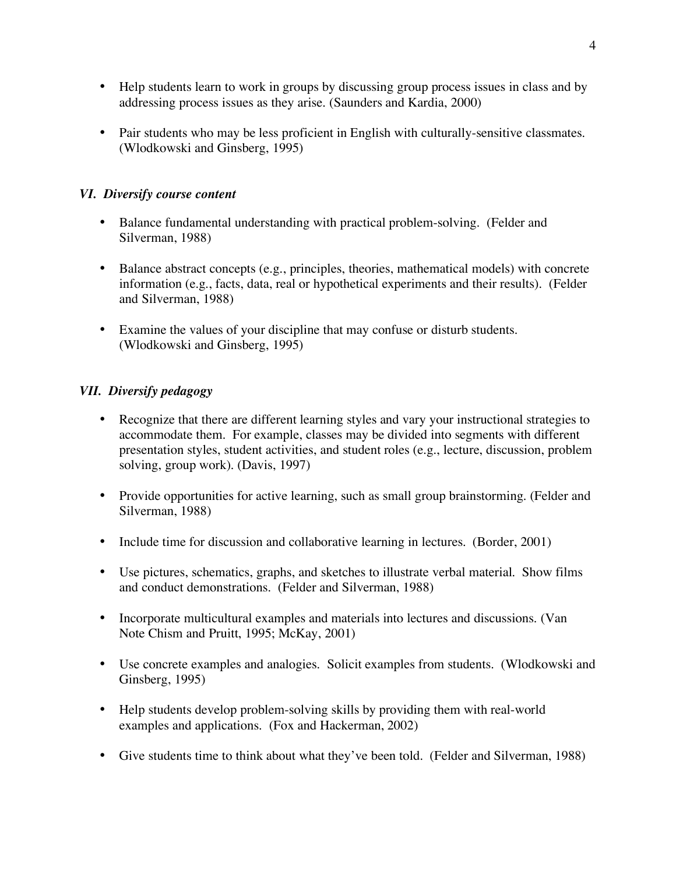- Help students learn to work in groups by discussing group process issues in class and by addressing process issues as they arise. (Saunders and Kardia, 2000)
- Pair students who may be less proficient in English with culturally-sensitive classmates. (Wlodkowski and Ginsberg, 1995)

# *VI. Diversify course content*

- Balance fundamental understanding with practical problem-solving. (Felder and Silverman, 1988)
- Balance abstract concepts (e.g., principles, theories, mathematical models) with concrete information (e.g., facts, data, real or hypothetical experiments and their results). (Felder and Silverman, 1988)
- Examine the values of your discipline that may confuse or disturb students. (Wlodkowski and Ginsberg, 1995)

# *VII. Diversify pedagogy*

- Recognize that there are different learning styles and vary your instructional strategies to accommodate them. For example, classes may be divided into segments with different presentation styles, student activities, and student roles (e.g., lecture, discussion, problem solving, group work). (Davis, 1997)
- Provide opportunities for active learning, such as small group brainstorming. (Felder and Silverman, 1988)
- Include time for discussion and collaborative learning in lectures. (Border, 2001)
- Use pictures, schematics, graphs, and sketches to illustrate verbal material. Show films and conduct demonstrations. (Felder and Silverman, 1988)
- Incorporate multicultural examples and materials into lectures and discussions. (Van Note Chism and Pruitt, 1995; McKay, 2001)
- Use concrete examples and analogies. Solicit examples from students. (Wlodkowski and Ginsberg, 1995)
- Help students develop problem-solving skills by providing them with real-world examples and applications. (Fox and Hackerman, 2002)
- Give students time to think about what they've been told. (Felder and Silverman, 1988)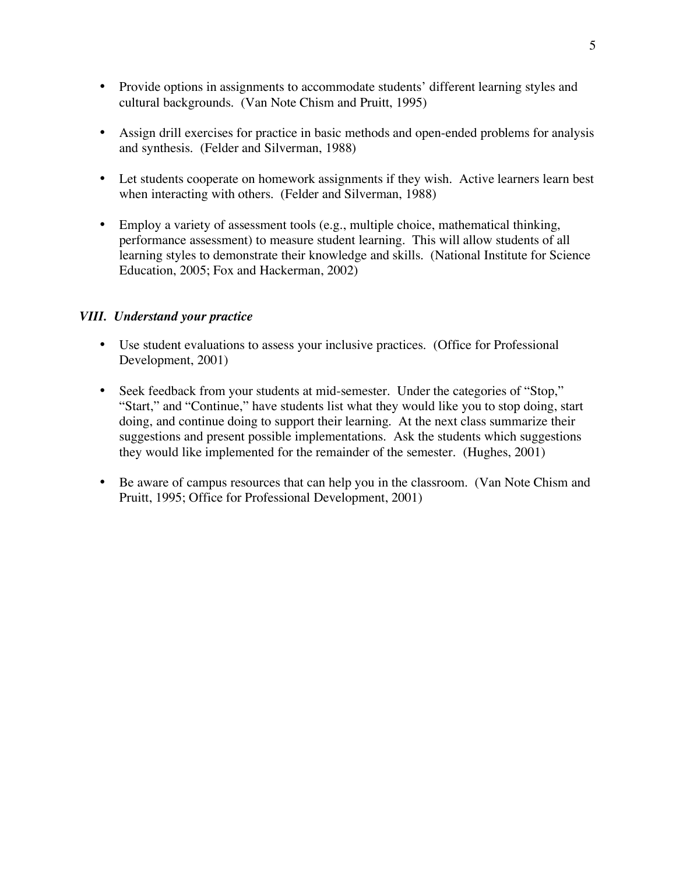- Provide options in assignments to accommodate students' different learning styles and cultural backgrounds. (Van Note Chism and Pruitt, 1995)
- Assign drill exercises for practice in basic methods and open-ended problems for analysis and synthesis. (Felder and Silverman, 1988)
- Let students cooperate on homework assignments if they wish. Active learners learn best when interacting with others. (Felder and Silverman, 1988)
- Employ a variety of assessment tools (e.g., multiple choice, mathematical thinking, performance assessment) to measure student learning. This will allow students of all learning styles to demonstrate their knowledge and skills. (National Institute for Science Education, 2005; Fox and Hackerman, 2002)

#### *VIII. Understand your practice*

- Use student evaluations to assess your inclusive practices. (Office for Professional Development, 2001)
- Seek feedback from your students at mid-semester. Under the categories of "Stop," "Start," and "Continue," have students list what they would like you to stop doing, start doing, and continue doing to support their learning. At the next class summarize their suggestions and present possible implementations. Ask the students which suggestions they would like implemented for the remainder of the semester. (Hughes, 2001)
- Be aware of campus resources that can help you in the classroom. (Van Note Chism and Pruitt, 1995; Office for Professional Development, 2001)